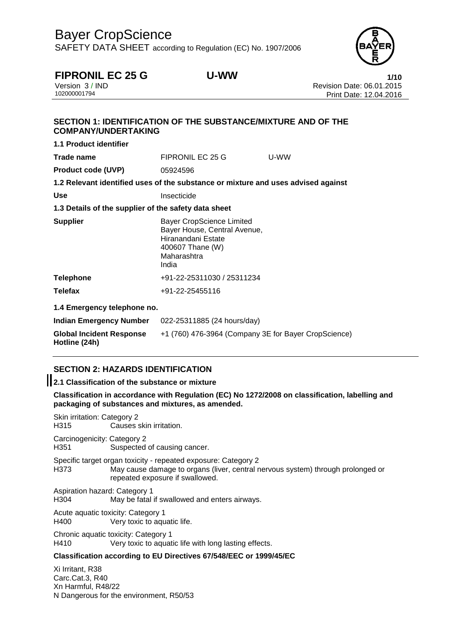SAFETY DATA SHEET according to Regulation (EC) No. 1907/2006



**FIPRONIL EC 25 G U-WW**<br>Version 3/IND Version 3/IND Version 3 / IND Revision Date: 06.01.2015 Print Date: 12.04.2016

# **SECTION 1: IDENTIFICATION OF THE SUBSTANCE/MIXTURE AND OF THE COMPANY/UNDERTAKING 1.1 Product identifier**

| Trade name                                           | FIPRONIL EC 25 G                                                                                                            | U-WW |
|------------------------------------------------------|-----------------------------------------------------------------------------------------------------------------------------|------|
| <b>Product code (UVP)</b>                            | 05924596                                                                                                                    |      |
|                                                      | 1.2 Relevant identified uses of the substance or mixture and uses advised against                                           |      |
| Use                                                  | Insecticide                                                                                                                 |      |
| 1.3 Details of the supplier of the safety data sheet |                                                                                                                             |      |
| <b>Supplier</b>                                      | Bayer CropScience Limited<br>Bayer House, Central Avenue,<br>Hiranandani Estate<br>400607 Thane (W)<br>Maharashtra<br>India |      |
| Telephone                                            | +91-22-25311030 / 25311234                                                                                                  |      |
| Telefax                                              | +91-22-25455116                                                                                                             |      |
| 1.4 Emergency telephone no.                          |                                                                                                                             |      |
| <b>Indian Emergency Number</b>                       | 022-25311885 (24 hours/day)                                                                                                 |      |
| <b>Global Incident Response</b><br>Hotline (24h)     | +1 (760) 476-3964 (Company 3E for Bayer CropScience)                                                                        |      |

# **SECTION 2: HAZARDS IDENTIFICATION**

**2.1 Classification of the substance or mixture**

**Classification in accordance with Regulation (EC) No 1272/2008 on classification, labelling and packaging of substances and mixtures, as amended.**

Skin irritation: Category 2 H315 Causes skin irritation. Carcinogenicity: Category 2 H351 Suspected of causing cancer. Specific target organ toxicity - repeated exposure: Category 2 H373 May cause damage to organs (liver, central nervous system) through prolonged or repeated exposure if swallowed. Aspiration hazard: Category 1 H304 May be fatal if swallowed and enters airways. Acute aquatic toxicity: Category 1 H400 Very toxic to aquatic life. Chronic aquatic toxicity: Category 1 H410 Very toxic to aquatic life with long lasting effects. **Classification according to EU Directives 67/548/EEC or 1999/45/EC** Xi Irritant, R38

Carc.Cat.3, R40 Xn Harmful, R48/22 N Dangerous for the environment, R50/53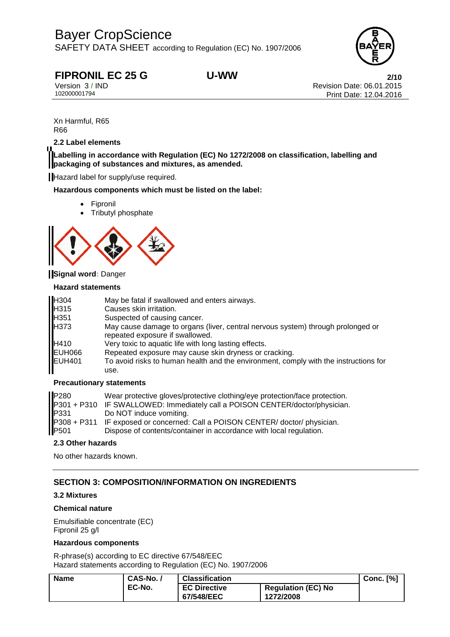SAFETY DATA SHEET according to Regulation (EC) No. 1907/2006



**FIPRONIL EC 25 G U-WW**<br>Version 3/IND Version 3/IND Revision Date: 06.01.2015 Version 3 / IND Revision Date: 06.01.2015 Print Date: 12.04.2016

Xn Harmful, R65 R66

## **2.2 Label elements**

**Labelling in accordance with Regulation (EC) No 1272/2008 on classification, labelling and packaging of substances and mixtures, as amended.**

Hazard label for supply/use required.

**Hazardous components which must be listed on the label:**

- Fipronil
- Tributyl phosphate



## **Signal word:** Danger

### **Hazard statements**

| <b>H</b> 304 | May be fatal if swallowed and enters airways.                                                                      |
|--------------|--------------------------------------------------------------------------------------------------------------------|
| <b>H</b> 315 | Causes skin irritation.                                                                                            |
| <b>H</b> 351 | Suspected of causing cancer.                                                                                       |
| <b>H373</b>  | May cause damage to organs (liver, central nervous system) through prolonged or<br>repeated exposure if swallowed. |
| H410         | Very toxic to aquatic life with long lasting effects.                                                              |
| EUH066       | Repeated exposure may cause skin dryness or cracking.                                                              |
| EUH401       | To avoid risks to human health and the environment, comply with the instructions for<br>use.                       |

## **Precautionary statements**

| P280                              | Wear protective gloves/protective clothing/eye protection/face protection.<br>P301 + P310 IF SWALLOWED: Immediately call a POISON CENTER/doctor/physician. |
|-----------------------------------|------------------------------------------------------------------------------------------------------------------------------------------------------------|
| P331                              | Do NOT induce vomiting.                                                                                                                                    |
| $P308 + P311$<br>P <sub>501</sub> | IF exposed or concerned: Call a POISON CENTER/ doctor/ physician.<br>Dispose of contents/container in accordance with local regulation.                    |

### **2.3 Other hazards**

No other hazards known.

# **SECTION 3: COMPOSITION/INFORMATION ON INGREDIENTS**

## **3.2 Mixtures**

## **Chemical nature**

Emulsifiable concentrate (EC) Fipronil 25 g/l

## **Hazardous components**

R-phrase(s) according to EC directive 67/548/EEC Hazard statements according to Regulation (EC) No. 1907/2006

| CAS-No./<br>Name |        | <b>Classification</b>             |                                        | Conc. $[%]$ |
|------------------|--------|-----------------------------------|----------------------------------------|-------------|
|                  | EC-No. | <b>EC Directive</b><br>67/548/EEC | <b>Regulation (EC) No</b><br>1272/2008 |             |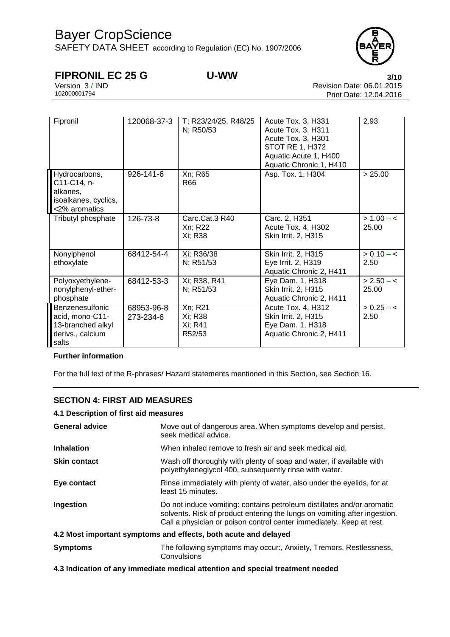SAFETY DATA SHEET according to Regulation (EC) No. 1907/2006



**FIPRONIL EC 25 G U-WW**<br>Version 3/IND **3/10**<br>Revision Date: 06.01.2015 Version 3 / IND Revision Date: 06.01.2015 Print Date: 12.04.2016

| Fipronil                                                                             | 120068-37-3             | T; R23/24/25, R48/25<br>N; R50/53       | Acute Tox. 3, H331<br>Acute Tox. 3, H311<br>Acute Tox. 3, H301<br><b>STOT RE 1, H372</b><br>Aquatic Acute 1, H400<br>Aquatic Chronic 1, H410 | 2.93                  |
|--------------------------------------------------------------------------------------|-------------------------|-----------------------------------------|----------------------------------------------------------------------------------------------------------------------------------------------|-----------------------|
| Hydrocarbons,<br>C11-C14, n-<br>alkanes,<br>isoalkanes, cyclics,<br><2% aromatics    | 926-141-6               | Xn; R65<br>R66                          | Asp. Tox. 1, H304                                                                                                                            | > 25.00               |
| Tributyl phosphate                                                                   | 126-73-8                | Carc.Cat.3 R40<br>Xn; R22<br>Xi; R38    | Carc. 2, H351<br>Acute Tox. 4, H302<br>Skin Irrit. 2, H315                                                                                   | $> 1.00 - c$<br>25.00 |
| Nonylphenol<br>ethoxylate                                                            | 68412-54-4              | Xi; R36/38<br>N; R51/53                 | Skin Irrit. 2, H315<br>Eye Irrit. 2, H319<br>Aquatic Chronic 2, H411                                                                         | $> 0.10 - c$<br>2.50  |
| Polyoxyethylene-<br>nonylphenyl-ether-<br>phosphate                                  | 68412-53-3              | Xi; R38, R41<br>N; R51/53               | Eye Dam. 1, H318<br>Skin Irrit. 2, H315<br>Aquatic Chronic 2, H411                                                                           | $> 2.50 - c$<br>25.00 |
| Benzenesulfonic<br>acid, mono-C11-<br>13-branched alkyl<br>derivs., calcium<br>salts | 68953-96-8<br>273-234-6 | Xn; R21<br>Xi; R38<br>Xi; R41<br>R52/53 | Acute Tox. 4, H312<br>Skin Irrit. 2, H315<br>Eye Dam. 1, H318<br>Aquatic Chronic 2, H411                                                     | $> 0.25 - c$<br>2.50  |

# **Further information**

For the full text of the R-phrases/ Hazard statements mentioned in this Section, see Section 16.

# **SECTION 4: FIRST AID MEASURES**

### **4.1 Description of first aid measures**

| Move out of dangerous area. When symptoms develop and persist,<br>seek medical advice.                                                                                                                                      |
|-----------------------------------------------------------------------------------------------------------------------------------------------------------------------------------------------------------------------------|
| When inhaled remove to fresh air and seek medical aid.                                                                                                                                                                      |
| Wash off thoroughly with plenty of soap and water, if available with<br>polyethyleneglycol 400, subsequently rinse with water.                                                                                              |
| Rinse immediately with plenty of water, also under the eyelids, for at<br>least 15 minutes.                                                                                                                                 |
| Do not induce vomiting: contains petroleum distillates and/or aromatic<br>solvents. Risk of product entering the lungs on vomiting after ingestion.<br>Call a physician or poison control center immediately. Keep at rest. |
| 4.2 Most important symptoms and effects, both acute and delayed                                                                                                                                                             |
| The following symptoms may occur:, Anxiety, Tremors, Restlessness,<br>Convulsions                                                                                                                                           |
|                                                                                                                                                                                                                             |

**4.3 Indication of any immediate medical attention and special treatment needed**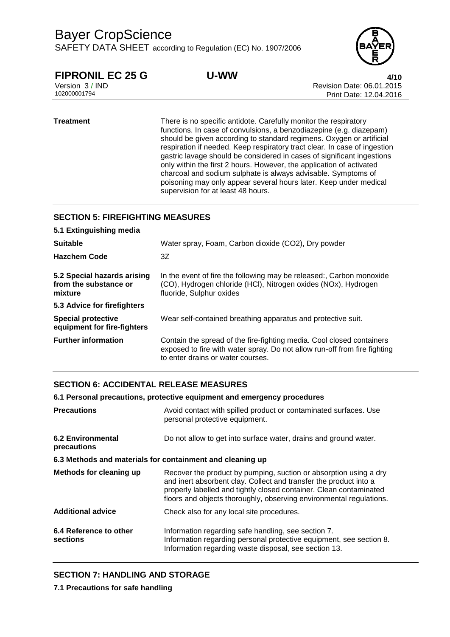SAFETY DATA SHEET according to Regulation (EC) No. 1907/2006



**FIPRONIL EC 25 G U-WW**<br>Version 3/IND Version 3/IND Version 2015 Version 3 / IND Revision Date: 06.01.2015 Print Date: 12.04.2016

**Treatment** There is no specific antidote. Carefully monitor the respiratory functions. In case of convulsions, a benzodiazepine (e.g. diazepam) should be given according to standard regimens. Oxygen or artificial respiration if needed. Keep respiratory tract clear. In case of ingestion gastric lavage should be considered in cases of significant ingestions only within the first 2 hours. However, the application of activated charcoal and sodium sulphate is always advisable. Symptoms of poisoning may only appear several hours later. Keep under medical supervision for at least 48 hours.

# **SECTION 5: FIREFIGHTING MEASURES**

| 5.1 Extinguishing media                                         |                                                                                                                                                                                         |
|-----------------------------------------------------------------|-----------------------------------------------------------------------------------------------------------------------------------------------------------------------------------------|
| <b>Suitable</b>                                                 | Water spray, Foam, Carbon dioxide (CO2), Dry powder                                                                                                                                     |
| <b>Hazchem Code</b>                                             | 3Z                                                                                                                                                                                      |
| 5.2 Special hazards arising<br>from the substance or<br>mixture | In the event of fire the following may be released:, Carbon monoxide<br>(CO), Hydrogen chloride (HCI), Nitrogen oxides (NOx), Hydrogen<br>fluoride, Sulphur oxides                      |
| 5.3 Advice for firefighters                                     |                                                                                                                                                                                         |
| <b>Special protective</b><br>equipment for fire-fighters        | Wear self-contained breathing apparatus and protective suit.                                                                                                                            |
| <b>Further information</b>                                      | Contain the spread of the fire-fighting media. Cool closed containers<br>exposed to fire with water spray. Do not allow run-off from fire fighting<br>to enter drains or water courses. |

# **SECTION 6: ACCIDENTAL RELEASE MEASURES**

#### **6.1 Personal precautions, protective equipment and emergency procedures**

| <b>Precautions</b>                                        | Avoid contact with spilled product or contaminated surfaces. Use<br>personal protective equipment.                                                                                                                                                                                  |
|-----------------------------------------------------------|-------------------------------------------------------------------------------------------------------------------------------------------------------------------------------------------------------------------------------------------------------------------------------------|
| <b>6.2 Environmental</b><br>precautions                   | Do not allow to get into surface water, drains and ground water.                                                                                                                                                                                                                    |
| 6.3 Methods and materials for containment and cleaning up |                                                                                                                                                                                                                                                                                     |
| Methods for cleaning up                                   | Recover the product by pumping, suction or absorption using a dry<br>and inert absorbent clay. Collect and transfer the product into a<br>properly labelled and tightly closed container. Clean contaminated<br>floors and objects thoroughly, observing environmental regulations. |
| <b>Additional advice</b>                                  | Check also for any local site procedures.                                                                                                                                                                                                                                           |
| 6.4 Reference to other<br>sections                        | Information regarding safe handling, see section 7.<br>Information regarding personal protective equipment, see section 8.<br>Information regarding waste disposal, see section 13.                                                                                                 |

# **SECTION 7: HANDLING AND STORAGE**

**7.1 Precautions for safe handling**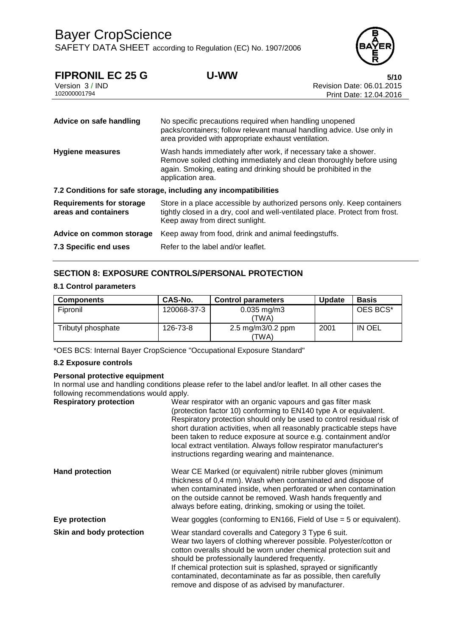SAFETY DATA SHEET according to Regulation (EC) No. 1907/2006



| U-WW | 5/10                      |
|------|---------------------------|
|      | Revision Date: 06.01.2015 |
|      | Print Date: 12.04.2016    |
|      |                           |
|      |                           |

| Advice on safe handling                                 | No specific precautions required when handling unopened<br>packs/containers; follow relevant manual handling advice. Use only in<br>area provided with appropriate exhaust ventilation.                                        |
|---------------------------------------------------------|--------------------------------------------------------------------------------------------------------------------------------------------------------------------------------------------------------------------------------|
| Hygiene measures                                        | Wash hands immediately after work, if necessary take a shower.<br>Remove soiled clothing immediately and clean thoroughly before using<br>again. Smoking, eating and drinking should be prohibited in the<br>application area. |
|                                                         | 7.2 Conditions for safe storage, including any incompatibilities                                                                                                                                                               |
| <b>Requirements for storage</b><br>areas and containers | Store in a place accessible by authorized persons only. Keep containers<br>tightly closed in a dry, cool and well-ventilated place. Protect from frost.<br>Keep away from direct sunlight.                                     |
| Advice on common storage                                | Keep away from food, drink and animal feedingstuffs.                                                                                                                                                                           |
| 7.3 Specific end uses                                   | Refer to the label and/or leaflet.                                                                                                                                                                                             |

# **SECTION 8: EXPOSURE CONTROLS/PERSONAL PROTECTION**

### **8.1 Control parameters**

| <b>Components</b>  | CAS-No.     | <b>Control parameters</b>     | <b>Update</b> | <b>Basis</b> |
|--------------------|-------------|-------------------------------|---------------|--------------|
| Fipronil           | 120068-37-3 | $0.035$ mg/m $3$<br>'TWA)     |               | OES BCS*     |
| Tributyl phosphate | 126-73-8    | 2.5 mg/m $3/0.2$ ppm<br>TWA). | 2001          | IN OEL       |

\*OES BCS: Internal Bayer CropScience "Occupational Exposure Standard"

### **8.2 Exposure controls**

### **Personal protective equipment**

In normal use and handling conditions please refer to the label and/or leaflet. In all other cases the following recommendations would apply.

| <b>Respiratory protection</b> | Wear respirator with an organic vapours and gas filter mask<br>(protection factor 10) conforming to EN140 type A or equivalent.<br>Respiratory protection should only be used to control residual risk of<br>short duration activities, when all reasonably practicable steps have<br>been taken to reduce exposure at source e.g. containment and/or<br>local extract ventilation. Always follow respirator manufacturer's<br>instructions regarding wearing and maintenance. |
|-------------------------------|--------------------------------------------------------------------------------------------------------------------------------------------------------------------------------------------------------------------------------------------------------------------------------------------------------------------------------------------------------------------------------------------------------------------------------------------------------------------------------|
| <b>Hand protection</b>        | Wear CE Marked (or equivalent) nitrile rubber gloves (minimum<br>thickness of 0,4 mm). Wash when contaminated and dispose of<br>when contaminated inside, when perforated or when contamination<br>on the outside cannot be removed. Wash hands frequently and<br>always before eating, drinking, smoking or using the toilet.                                                                                                                                                 |
| Eye protection                | Wear goggles (conforming to $EN166$ , Field of Use = 5 or equivalent).                                                                                                                                                                                                                                                                                                                                                                                                         |
| Skin and body protection      | Wear standard coveralls and Category 3 Type 6 suit.<br>Wear two layers of clothing wherever possible. Polyester/cotton or<br>cotton overalls should be worn under chemical protection suit and<br>should be professionally laundered frequently.<br>If chemical protection suit is splashed, sprayed or significantly<br>contaminated, decontaminate as far as possible, then carefully<br>remove and dispose of as advised by manufacturer.                                   |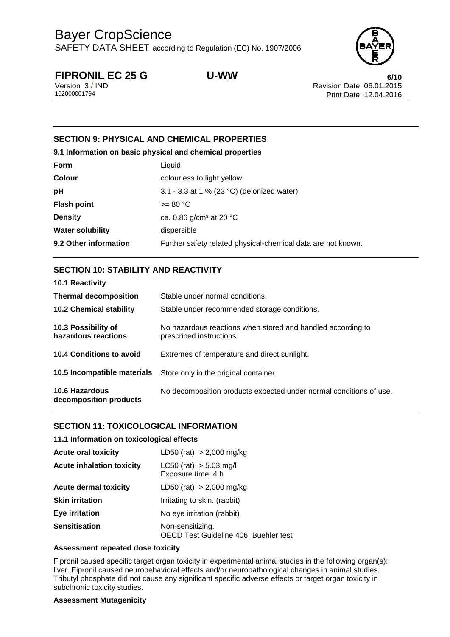SAFETY DATA SHEET according to Regulation (EC) No. 1907/2006



**FIPRONIL EC 25 G U-WW**<br>Version 3/IND **6/10**<br>Revision Date: 06.01.2015 Version 3 / IND Revision Date: 06.01.2015 Print Date: 12.04.2016

# **SECTION 9: PHYSICAL AND CHEMICAL PROPERTIES**

**9.1 Information on basic physical and chemical properties**

| Form                    | Liquid                                                       |
|-------------------------|--------------------------------------------------------------|
| <b>Colour</b>           | colourless to light yellow                                   |
| pH                      | 3.1 - 3.3 at 1 % (23 °C) (deionized water)                   |
| <b>Flash point</b>      | $>= 80 °C$                                                   |
| <b>Density</b>          | ca. 0.86 $g/cm3$ at 20 °C                                    |
| <b>Water solubility</b> | dispersible                                                  |
| 9.2 Other information   | Further safety related physical-chemical data are not known. |

# **SECTION 10: STABILITY AND REACTIVITY**

| 10.1 Reactivity                            |                                                                                         |
|--------------------------------------------|-----------------------------------------------------------------------------------------|
| <b>Thermal decomposition</b>               | Stable under normal conditions.                                                         |
| <b>10.2 Chemical stability</b>             | Stable under recommended storage conditions.                                            |
| 10.3 Possibility of<br>hazardous reactions | No hazardous reactions when stored and handled according to<br>prescribed instructions. |
| 10.4 Conditions to avoid                   | Extremes of temperature and direct sunlight.                                            |
| 10.5 Incompatible materials                | Store only in the original container.                                                   |
| 10.6 Hazardous<br>decomposition products   | No decomposition products expected under normal conditions of use.                      |

# **SECTION 11: TOXICOLOGICAL INFORMATION**

## **11.1 Information on toxicological effects**

| <b>Acute oral toxicity</b>       | LD50 (rat) $> 2,000$ mg/kg                                |
|----------------------------------|-----------------------------------------------------------|
| <b>Acute inhalation toxicity</b> | $LC50$ (rat) $> 5.03$ mg/l<br>Exposure time: 4 h          |
| <b>Acute dermal toxicity</b>     | LD50 (rat) $> 2,000$ mg/kg                                |
| <b>Skin irritation</b>           | Irritating to skin. (rabbit)                              |
| Eye irritation                   | No eye irritation (rabbit)                                |
| <b>Sensitisation</b>             | Non-sensitizing.<br>OECD Test Guideline 406, Buehler test |

### **Assessment repeated dose toxicity**

Fipronil caused specific target organ toxicity in experimental animal studies in the following organ(s): liver. Fipronil caused neurobehavioral effects and/or neuropathological changes in animal studies. Tributyl phosphate did not cause any significant specific adverse effects or target organ toxicity in subchronic toxicity studies.

## **Assessment Mutagenicity**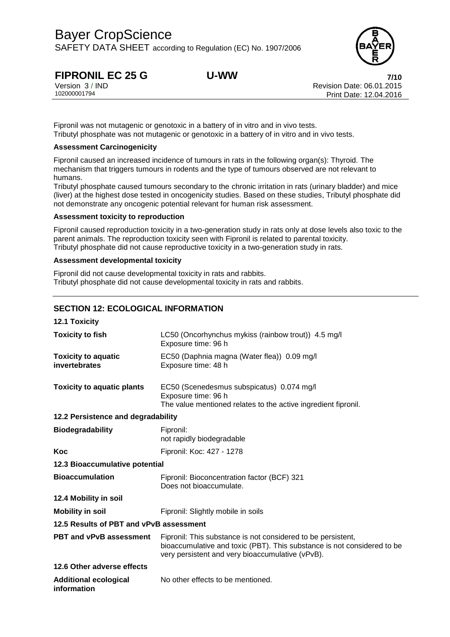SAFETY DATA SHEET according to Regulation (EC) No. 1907/2006



**FIPRONIL EC 25 G U-WW**<br>
Version 3/IND **7/10**<br>
Revision Date: 06.01.2015 Version 3 / IND Revision Date: 06.01.2015 Print Date: 12.04.2016

Fipronil was not mutagenic or genotoxic in a battery of in vitro and in vivo tests. Tributyl phosphate was not mutagenic or genotoxic in a battery of in vitro and in vivo tests.

## **Assessment Carcinogenicity**

Fipronil caused an increased incidence of tumours in rats in the following organ(s): Thyroid. The mechanism that triggers tumours in rodents and the type of tumours observed are not relevant to humans.

Tributyl phosphate caused tumours secondary to the chronic irritation in rats (urinary bladder) and mice (liver) at the highest dose tested in oncogenicity studies. Based on these studies, Tributyl phosphate did not demonstrate any oncogenic potential relevant for human risk assessment.

### **Assessment toxicity to reproduction**

Fipronil caused reproduction toxicity in a two-generation study in rats only at dose levels also toxic to the parent animals. The reproduction toxicity seen with Fipronil is related to parental toxicity. Tributyl phosphate did not cause reproductive toxicity in a two-generation study in rats.

### **Assessment developmental toxicity**

Fipronil did not cause developmental toxicity in rats and rabbits. Tributyl phosphate did not cause developmental toxicity in rats and rabbits.

# **SECTION 12: ECOLOGICAL INFORMATION**

| <b>12.1 Toxicity</b>                        |                                                                                                                                                                                             |
|---------------------------------------------|---------------------------------------------------------------------------------------------------------------------------------------------------------------------------------------------|
| <b>Toxicity to fish</b>                     | LC50 (Oncorhynchus mykiss (rainbow trout)) 4.5 mg/l<br>Exposure time: 96 h                                                                                                                  |
| <b>Toxicity to aquatic</b><br>invertebrates | EC50 (Daphnia magna (Water flea)) 0.09 mg/l<br>Exposure time: 48 h                                                                                                                          |
| <b>Toxicity to aquatic plants</b>           | EC50 (Scenedesmus subspicatus) 0.074 mg/l<br>Exposure time: 96 h<br>The value mentioned relates to the active ingredient fipronil.                                                          |
| 12.2 Persistence and degradability          |                                                                                                                                                                                             |
| <b>Biodegradability</b>                     | Fipronil:<br>not rapidly biodegradable                                                                                                                                                      |
| Koc                                         | Fipronil: Koc: 427 - 1278                                                                                                                                                                   |
| 12.3 Bioaccumulative potential              |                                                                                                                                                                                             |
| <b>Bioaccumulation</b>                      | Fipronil: Bioconcentration factor (BCF) 321<br>Does not bioaccumulate.                                                                                                                      |
| 12.4 Mobility in soil                       |                                                                                                                                                                                             |
| <b>Mobility in soil</b>                     | Fipronil: Slightly mobile in soils                                                                                                                                                          |
| 12.5 Results of PBT and vPvB assessment     |                                                                                                                                                                                             |
| PBT and vPvB assessment                     | Fipronil: This substance is not considered to be persistent,<br>bioaccumulative and toxic (PBT). This substance is not considered to be<br>very persistent and very bioaccumulative (vPvB). |
| 12.6 Other adverse effects                  |                                                                                                                                                                                             |
| <b>Additional ecological</b><br>information | No other effects to be mentioned.                                                                                                                                                           |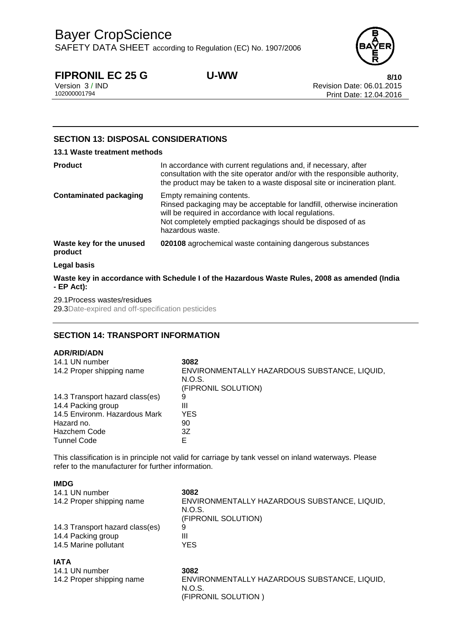SAFETY DATA SHEET according to Regulation (EC) No. 1907/2006



**FIPRONIL EC 25 G U-WW**<br>Version 3/IND **8/10**<br>Revision Date: 06.01.2015 Version 3 / IND Revision Date: 06.01.2015 Print Date: 12.04.2016

# **SECTION 13: DISPOSAL CONSIDERATIONS**

### **13.1 Waste treatment methods**

| <b>Product</b>                      | In accordance with current regulations and, if necessary, after<br>consultation with the site operator and/or with the responsible authority,<br>the product may be taken to a waste disposal site or incineration plant.                        |
|-------------------------------------|--------------------------------------------------------------------------------------------------------------------------------------------------------------------------------------------------------------------------------------------------|
| <b>Contaminated packaging</b>       | Empty remaining contents.<br>Rinsed packaging may be acceptable for landfill, otherwise incineration<br>will be required in accordance with local regulations.<br>Not completely emptied packagings should be disposed of as<br>hazardous waste. |
| Waste key for the unused<br>product | 020108 agrochemical waste containing dangerous substances                                                                                                                                                                                        |
| Legal basis                         |                                                                                                                                                                                                                                                  |

**Waste key in accordance with Schedule I of the Hazardous Waste Rules, 2008 as amended (India - EP Act):**

29.1Process wastes/residues

29.3Date-expired and off-specification pesticides

# **SECTION 14: TRANSPORT INFORMATION**

## **ADR/RID/ADN**

| 14.1 UN number<br>14.2 Proper shipping name | 3082<br>ENVIRONMENTALLY HAZARDOUS SUBSTANCE, LIQUID,<br>N.O.S.<br>(FIPRONIL SOLUTION) |
|---------------------------------------------|---------------------------------------------------------------------------------------|
| 14.3 Transport hazard class(es)             | 9                                                                                     |
| 14.4 Packing group                          | Ш                                                                                     |
| 14.5 Environm. Hazardous Mark               | YES.                                                                                  |
| Hazard no.                                  | 90                                                                                    |
| <b>Hazchem Code</b>                         | 3Ζ                                                                                    |
| <b>Tunnel Code</b>                          |                                                                                       |

This classification is in principle not valid for carriage by tank vessel on inland waterways. Please refer to the manufacturer for further information.

| <b>IMDG</b>                     |                                                                               |
|---------------------------------|-------------------------------------------------------------------------------|
| 14.1 UN number                  | 3082                                                                          |
| 14.2 Proper shipping name       | ENVIRONMENTALLY HAZARDOUS SUBSTANCE, LIQUID,<br>N.O.S.<br>(FIPRONIL SOLUTION) |
| 14.3 Transport hazard class(es) | 9                                                                             |
| 14.4 Packing group              | Ш                                                                             |
| 14.5 Marine pollutant           | YES.                                                                          |
| <b>IATA</b>                     |                                                                               |
| 14.1 UN number                  | 3082                                                                          |
| 14.2 Proper shipping name       | ENVIRONMENTALLY HAZARDOUS SUBSTANCE, LIQUID,                                  |

(FIPRONIL SOLUTION )

N.O.S.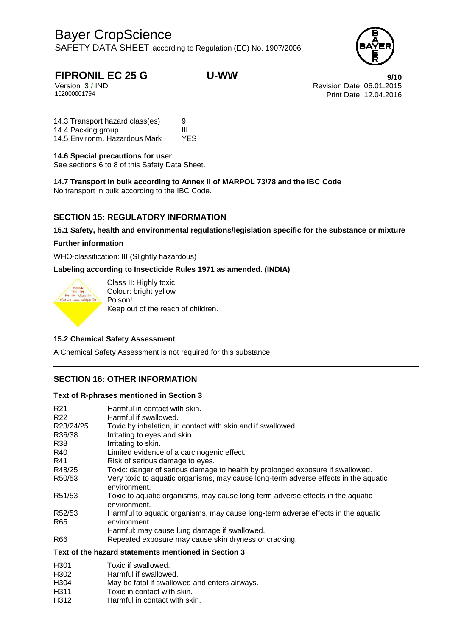SAFETY DATA SHEET according to Regulation (EC) No. 1907/2006



**FIPRONIL EC 25 G U-WW**<br>Version 3/IND Version 3/IND Revision Date: 06.01.2015 Version 3 / IND Revision Date: 06.01.2015 Print Date: 12.04.2016

14.3 Transport hazard class(es) 9 14.4 Packing group<br>14.5 Environm. Hazardous Mark YES 14.5 Environm. Hazardous Mark

### **14.6 Special precautions for user**

See sections 6 to 8 of this Safety Data Sheet.

**14.7 Transport in bulk according to Annex II of MARPOL 73/78 and the IBC Code** No transport in bulk according to the IBC Code.

# **SECTION 15: REGULATORY INFORMATION**

**15.1 Safety, health and environmental regulations/legislation specific for the substance or mixture**

### **Further information**

WHO-classification: III (Slightly hazardous)

**Labeling according to Insecticide Rules 1971 as amended. (INDIA)**



Class II: Highly toxic Colour: bright yellow Poison! Keep out of the reach of children.

### **15.2 Chemical Safety Assessment**

A Chemical Safety Assessment is not required for this substance.

# **SECTION 16: OTHER INFORMATION**

### **Text of R-phrases mentioned in Section 3**

| R <sub>21</sub><br>R22 | Harmful in contact with skin.<br>Harmful if swallowed.                                              |
|------------------------|-----------------------------------------------------------------------------------------------------|
| R23/24/25              | Toxic by inhalation, in contact with skin and if swallowed.                                         |
| R36/38                 | Irritating to eyes and skin.                                                                        |
| R38                    | Irritating to skin.                                                                                 |
| R40                    | Limited evidence of a carcinogenic effect.                                                          |
| R41                    | Risk of serious damage to eyes.                                                                     |
| R48/25                 | Toxic: danger of serious damage to health by prolonged exposure if swallowed.                       |
| R50/53                 | Very toxic to aquatic organisms, may cause long-term adverse effects in the aquatic<br>environment. |
| R51/53                 | Toxic to aquatic organisms, may cause long-term adverse effects in the aquatic<br>environment.      |
| R52/53                 | Harmful to aquatic organisms, may cause long-term adverse effects in the aquatic                    |
| R65                    | environment.                                                                                        |
|                        | Harmful: may cause lung damage if swallowed.                                                        |
| R66                    | Repeated exposure may cause skin dryness or cracking.                                               |
|                        | Text of the hazard statements mentioned in Section 3                                                |
| H301                   | Toxic if swallowed.                                                                                 |
| H302                   | Harmful if swallowed.                                                                               |

- H304 May be fatal if swallowed and enters airways.
- H311 Toxic in contact with skin.
- H312 Harmful in contact with skin.